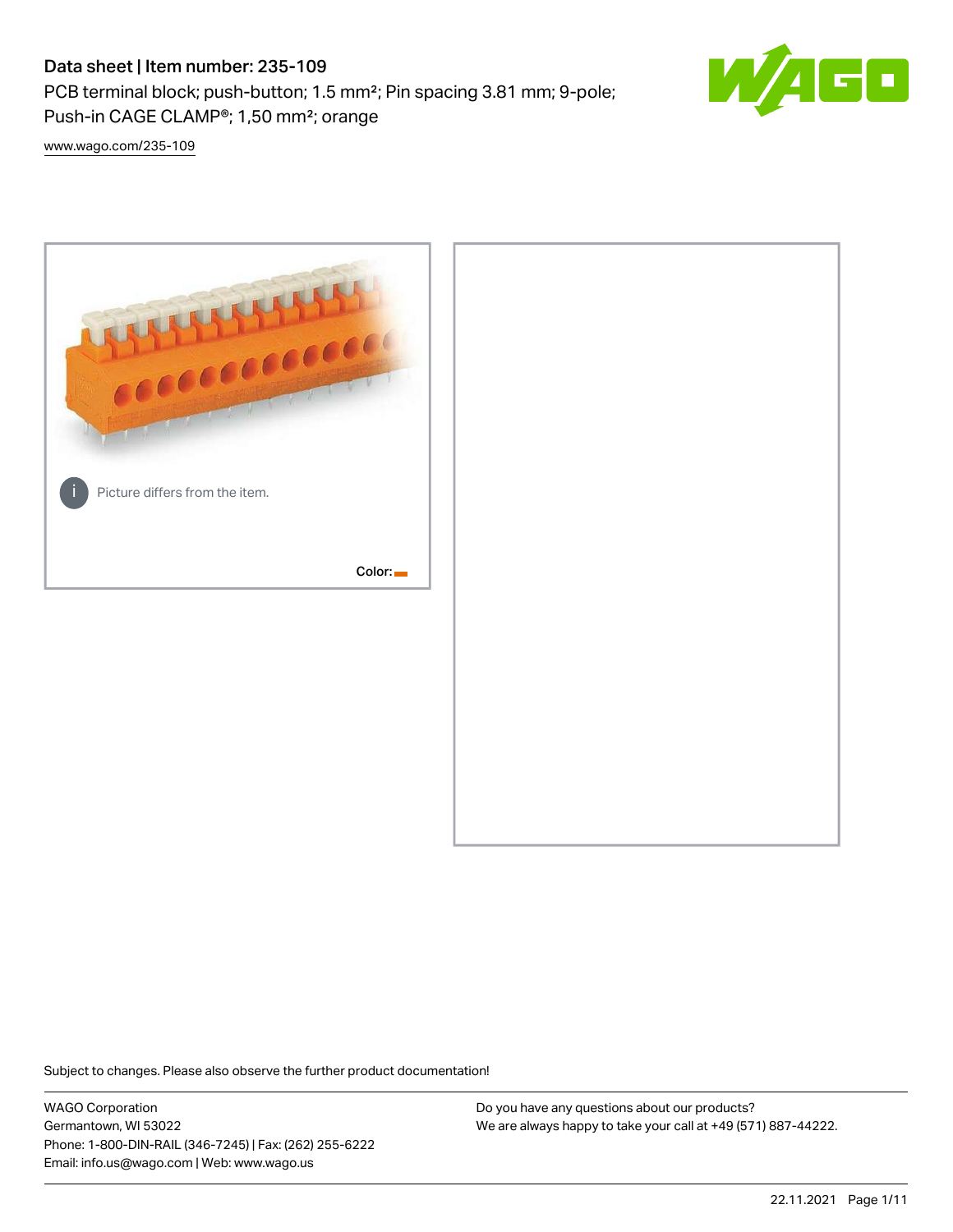# Data sheet | Item number: 235-109

PCB terminal block; push-button; 1.5 mm²; Pin spacing 3.81 mm; 9-pole; Push-in CAGE CLAMP®; 1,50 mm²; orange



[www.wago.com/235-109](http://www.wago.com/235-109)



Subject to changes. Please also observe the further product documentation!

WAGO Corporation Germantown, WI 53022 Phone: 1-800-DIN-RAIL (346-7245) | Fax: (262) 255-6222 Email: info.us@wago.com | Web: www.wago.us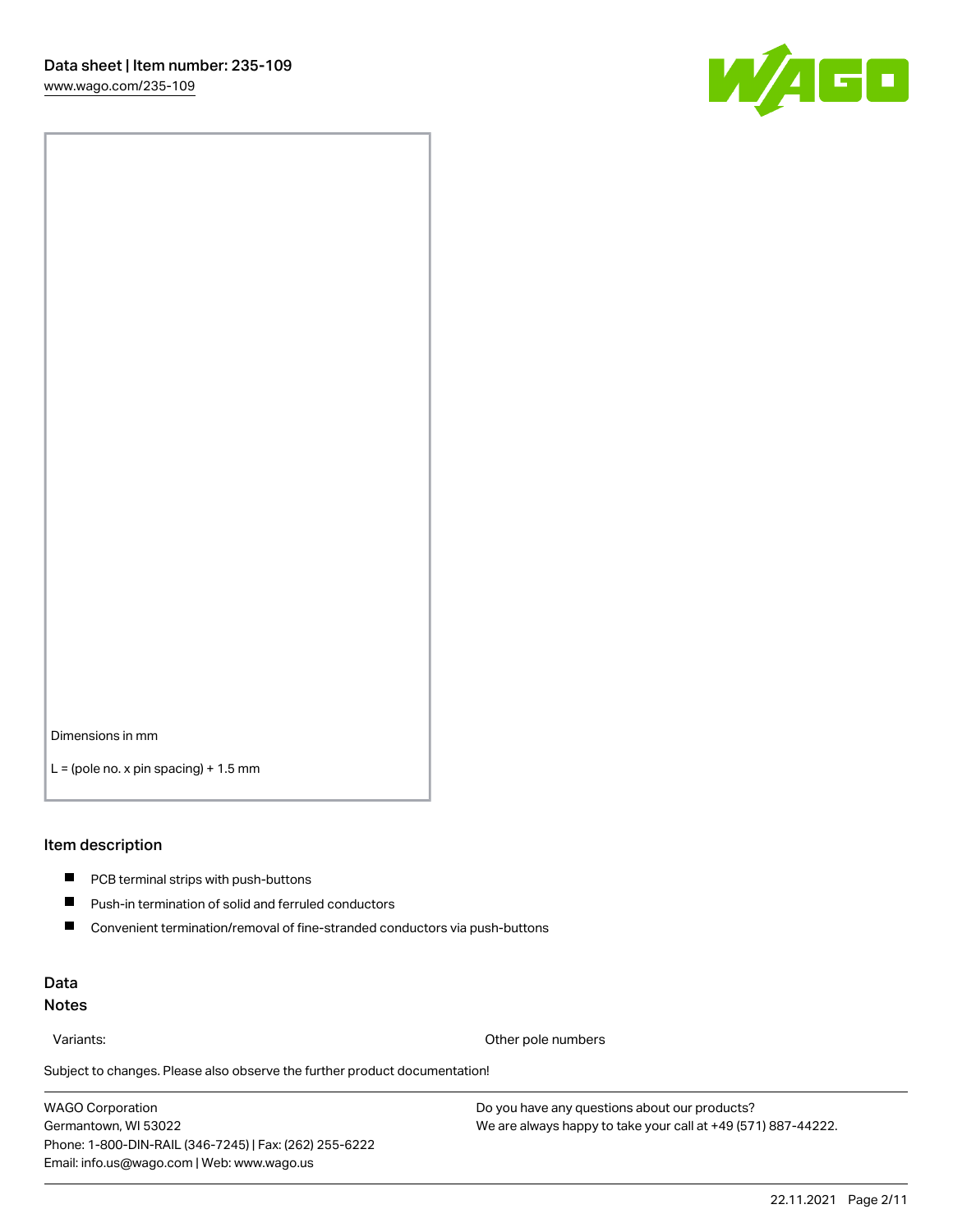

Dimensions in mm

 $L =$  (pole no. x pin spacing) + 1.5 mm

#### Item description

- **PCB terminal strips with push-buttons**
- $\blacksquare$ Push-in termination of solid and ferruled conductors
- $\blacksquare$ Convenient termination/removal of fine-stranded conductors via push-buttons

# Data Notes

Variants: Other pole numbers

Subject to changes. Please also observe the further product documentation! Other colors

WAGO Corporation Germantown, WI 53022 Phone: 1-800-DIN-RAIL (346-7245) | Fax: (262) 255-6222 Email: info.us@wago.com | Web: www.wago.us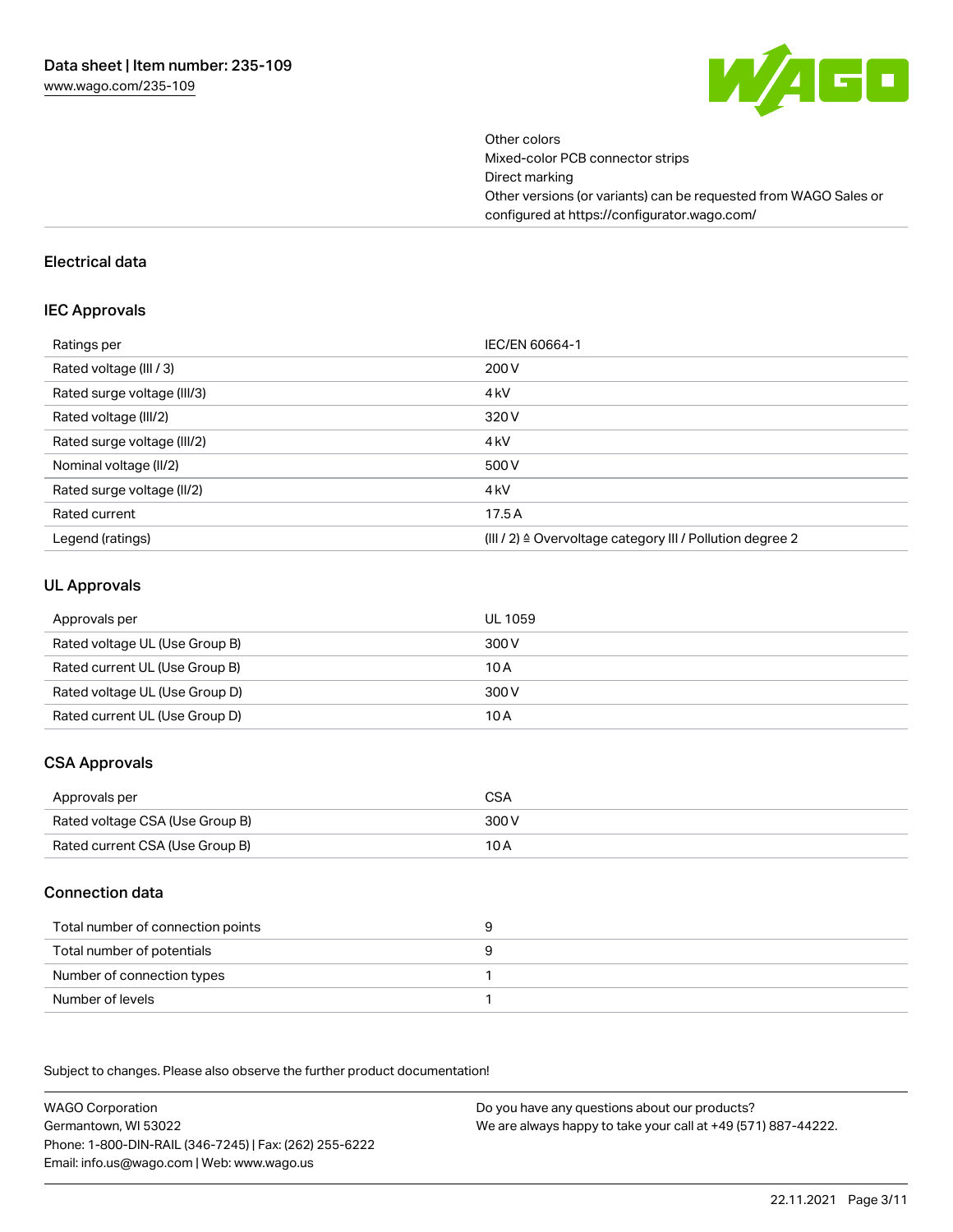

Other colors Mixed-color PCB connector strips Direct marking Other versions (or variants) can be requested from WAGO Sales or configured at https://configurator.wago.com/

#### Electrical data

#### IEC Approvals

| Ratings per                 | IEC/EN 60664-1                                                        |
|-----------------------------|-----------------------------------------------------------------------|
| Rated voltage (III / 3)     | 200 V                                                                 |
| Rated surge voltage (III/3) | 4 <sub>k</sub> V                                                      |
| Rated voltage (III/2)       | 320 V                                                                 |
| Rated surge voltage (III/2) | 4 <sub>k</sub> V                                                      |
| Nominal voltage (II/2)      | 500 V                                                                 |
| Rated surge voltage (II/2)  | 4 <sub>k</sub> V                                                      |
| Rated current               | 17.5A                                                                 |
| Legend (ratings)            | $(III / 2)$ $\triangle$ Overvoltage category III / Pollution degree 2 |

## UL Approvals

| Approvals per                  | UL 1059 |
|--------------------------------|---------|
| Rated voltage UL (Use Group B) | 300 V   |
| Rated current UL (Use Group B) | 10 A    |
| Rated voltage UL (Use Group D) | 300 V   |
| Rated current UL (Use Group D) | 10 A    |

# CSA Approvals

| Approvals per                   | CSA   |
|---------------------------------|-------|
| Rated voltage CSA (Use Group B) | 300 V |
| Rated current CSA (Use Group B) | 10 A  |

# Connection data

| Total number of connection points |  |
|-----------------------------------|--|
| Total number of potentials        |  |
| Number of connection types        |  |
| Number of levels                  |  |

.<br>Subject to changes. Please also observe the further product documentation!

WAGO Corporation Germantown, WI 53022 Phone: 1-800-DIN-RAIL (346-7245) | Fax: (262) 255-6222 Email: info.us@wago.com | Web: www.wago.us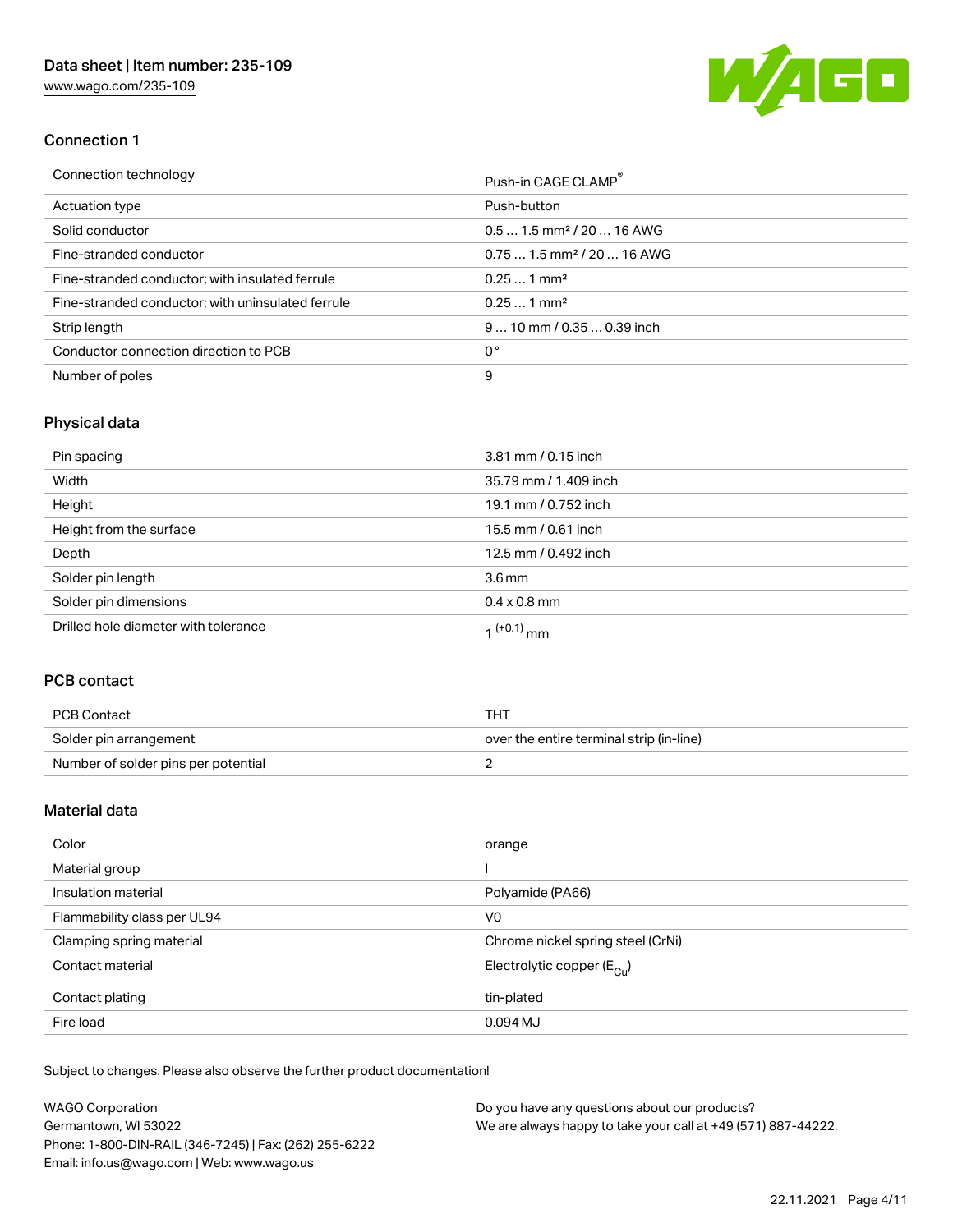[www.wago.com/235-109](http://www.wago.com/235-109)



# Connection 1

| Connection technology                             | Push-in CAGE CLAMP                     |
|---------------------------------------------------|----------------------------------------|
| Actuation type                                    | Push-button                            |
| Solid conductor                                   | $0.51.5$ mm <sup>2</sup> / 20  16 AWG  |
| Fine-stranded conductor                           | $0.751.5$ mm <sup>2</sup> / 20  16 AWG |
| Fine-stranded conductor; with insulated ferrule   | $0.251$ mm <sup>2</sup>                |
| Fine-stranded conductor; with uninsulated ferrule | $0.251$ mm <sup>2</sup>                |
| Strip length                                      | $910$ mm $/0.350.39$ inch              |
| Conductor connection direction to PCB             | 0°                                     |
| Number of poles                                   | 9                                      |

# Physical data

| Pin spacing                          | 3.81 mm / 0.15 inch    |
|--------------------------------------|------------------------|
| Width                                | 35.79 mm / 1.409 inch  |
| Height                               | 19.1 mm / 0.752 inch   |
| Height from the surface              | 15.5 mm / 0.61 inch    |
| Depth                                | 12.5 mm / 0.492 inch   |
| Solder pin length                    | 3.6 <sub>mm</sub>      |
| Solder pin dimensions                | $0.4 \times 0.8$ mm    |
| Drilled hole diameter with tolerance | 1 <sup>(+0.1)</sup> mm |

# PCB contact

| PCB Contact                         | тнт                                      |
|-------------------------------------|------------------------------------------|
| Solder pin arrangement              | over the entire terminal strip (in-line) |
| Number of solder pins per potential |                                          |

# Material data

| Color                       | orange                                |
|-----------------------------|---------------------------------------|
| Material group              |                                       |
| Insulation material         | Polyamide (PA66)                      |
| Flammability class per UL94 | V0                                    |
| Clamping spring material    | Chrome nickel spring steel (CrNi)     |
| Contact material            | Electrolytic copper $(E_{\text{CL}})$ |
| Contact plating             | tin-plated                            |
| Fire load                   | 0.094 MJ                              |

Subject to changes. Please also observe the further product documentation!

| <b>WAGO Corporation</b>                                | Do you have any questions about our products?                 |
|--------------------------------------------------------|---------------------------------------------------------------|
| Germantown, WI 53022                                   | We are always happy to take your call at +49 (571) 887-44222. |
| Phone: 1-800-DIN-RAIL (346-7245)   Fax: (262) 255-6222 |                                                               |
| Email: info.us@wago.com   Web: www.wago.us             |                                                               |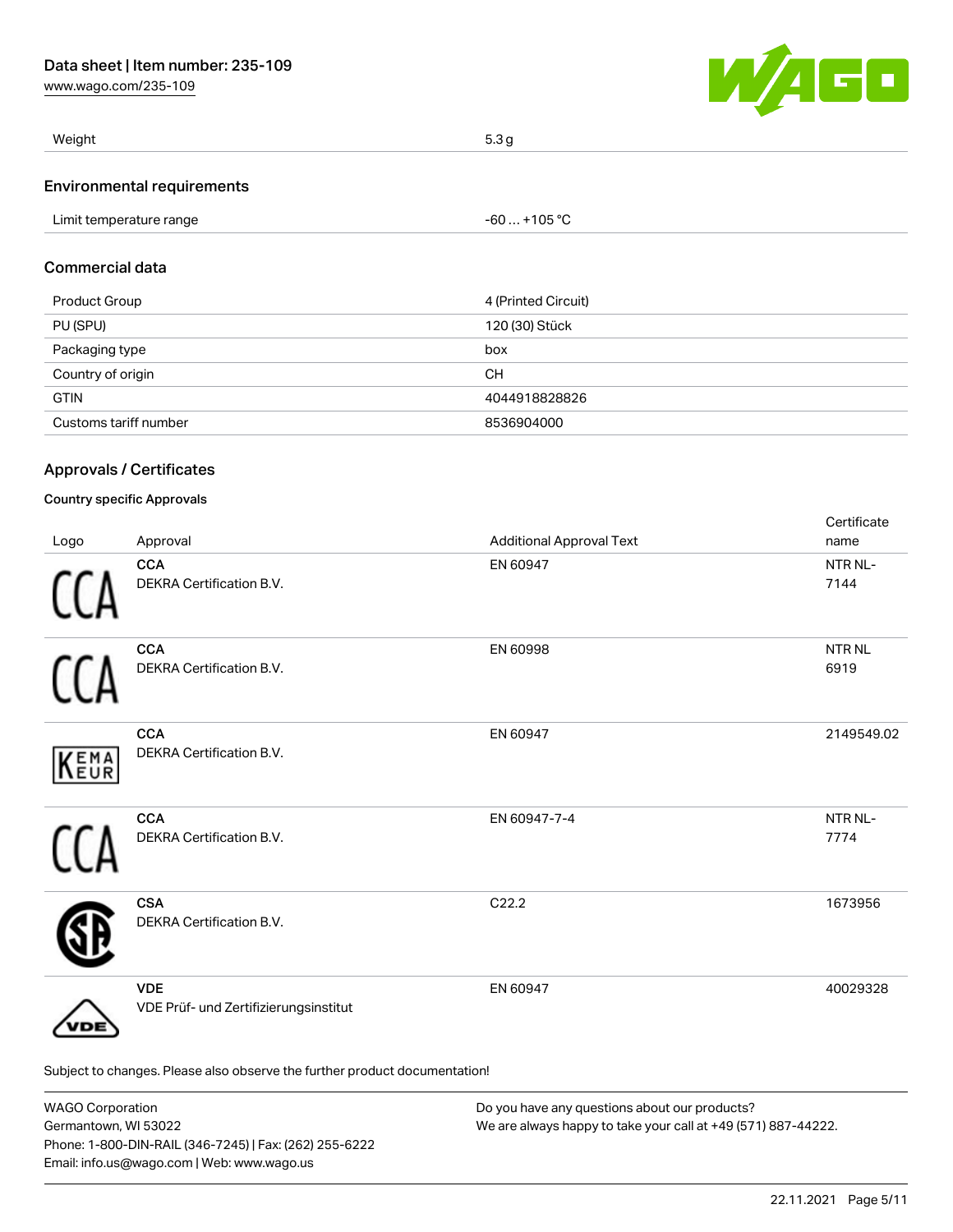[www.wago.com/235-109](http://www.wago.com/235-109)



| Weight                     | 5.3q |
|----------------------------|------|
| Environmental requirements |      |

#### Environmental requirements

| $-60+105 °C$<br>Limit temperature range |
|-----------------------------------------|
|-----------------------------------------|

# Commercial data

| Product Group         | 4 (Printed Circuit) |
|-----------------------|---------------------|
| PU (SPU)              | 120 (30) Stück      |
| Packaging type        | box                 |
| Country of origin     | <b>CH</b>           |
| <b>GTIN</b>           | 4044918828826       |
| Customs tariff number | 8536904000          |

# Approvals / Certificates

### Country specific Approvals

| Logo                                                                       | Approval                                            | <b>Additional Approval Text</b> | Certificate<br>name       |
|----------------------------------------------------------------------------|-----------------------------------------------------|---------------------------------|---------------------------|
|                                                                            | <b>CCA</b><br>DEKRA Certification B.V.              | EN 60947                        | NTR NL-<br>7144           |
|                                                                            | <b>CCA</b><br>DEKRA Certification B.V.              | EN 60998                        | NTR <sub>NL</sub><br>6919 |
| KEMA                                                                       | <b>CCA</b><br>DEKRA Certification B.V.              | EN 60947                        | 2149549.02                |
|                                                                            | <b>CCA</b><br>DEKRA Certification B.V.              | EN 60947-7-4                    | NTR NL-<br>7774           |
|                                                                            | <b>CSA</b><br>DEKRA Certification B.V.              | C22.2                           | 1673956                   |
| DE                                                                         | <b>VDE</b><br>VDE Prüf- und Zertifizierungsinstitut | EN 60947                        | 40029328                  |
| Subject to changes. Please also observe the further product documentation! |                                                     |                                 |                           |

| <b>WAGO Corporation</b>                                | Do you have any questions about our products?                 |  |
|--------------------------------------------------------|---------------------------------------------------------------|--|
| Germantown, WI 53022                                   | We are always happy to take your call at +49 (571) 887-44222. |  |
| Phone: 1-800-DIN-RAIL (346-7245)   Fax: (262) 255-6222 |                                                               |  |
| Email: info.us@wago.com   Web: www.wago.us             |                                                               |  |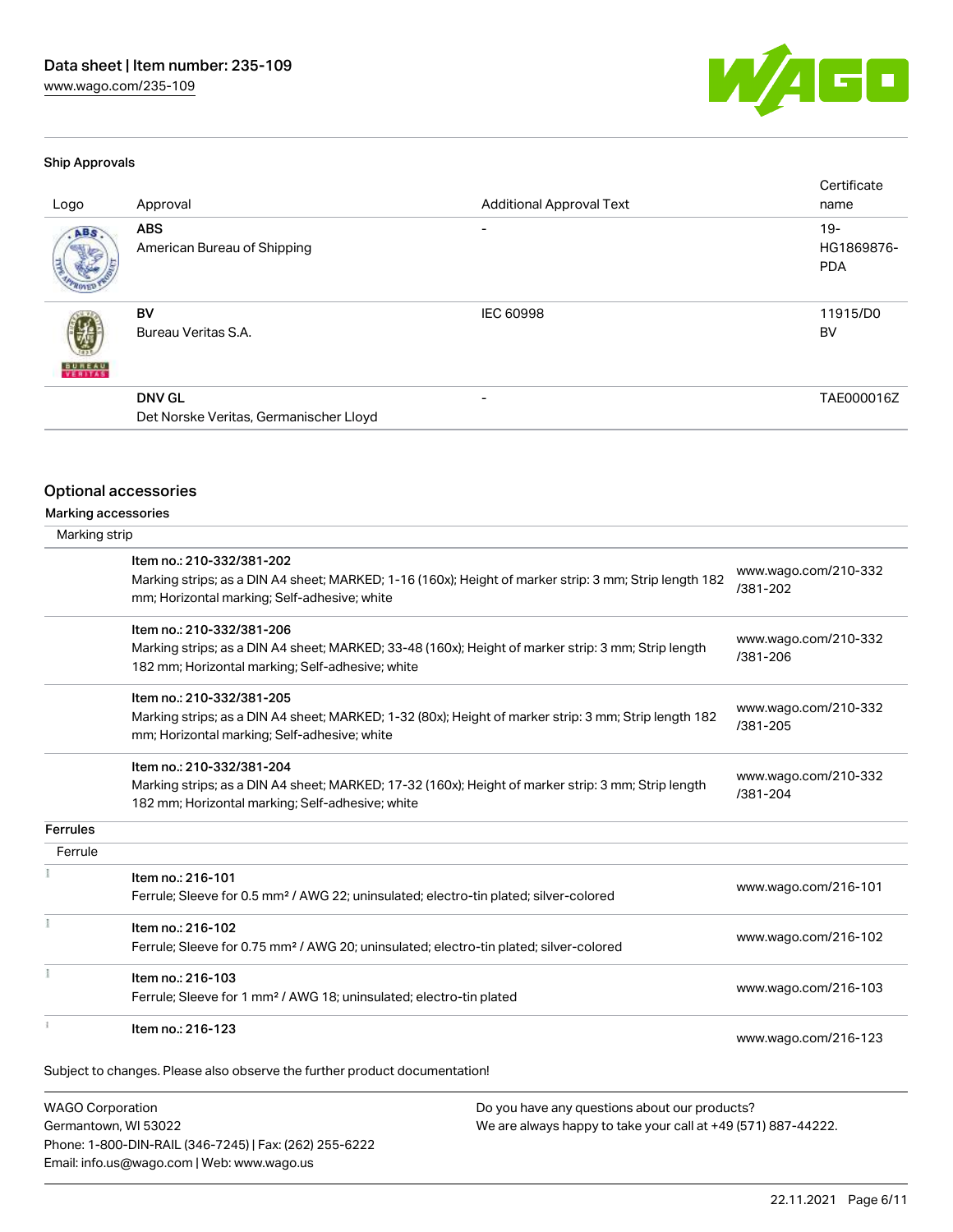

#### Ship Approvals

| Logo          | Approval                                                | <b>Additional Approval Text</b> | Certificate<br>name               |
|---------------|---------------------------------------------------------|---------------------------------|-----------------------------------|
| ABS           | <b>ABS</b><br>American Bureau of Shipping               |                                 | $19-$<br>HG1869876-<br><b>PDA</b> |
| <b>BUREAU</b> | BV<br>Bureau Veritas S.A.                               | <b>IEC 60998</b>                | 11915/D0<br>BV                    |
|               | <b>DNV GL</b><br>Det Norske Veritas, Germanischer Lloyd |                                 | TAE000016Z                        |

### Optional accessories

| Marking accessories |
|---------------------|
|                     |

| Marking strip   |                                                                                                                                                                                      |                                  |
|-----------------|--------------------------------------------------------------------------------------------------------------------------------------------------------------------------------------|----------------------------------|
|                 | Item no.: 210-332/381-202<br>Marking strips; as a DIN A4 sheet; MARKED; 1-16 (160x); Height of marker strip: 3 mm; Strip length 182<br>mm; Horizontal marking; Self-adhesive; white  | www.wago.com/210-332<br>/381-202 |
|                 | Item no.: 210-332/381-206<br>Marking strips; as a DIN A4 sheet; MARKED; 33-48 (160x); Height of marker strip: 3 mm; Strip length<br>182 mm; Horizontal marking; Self-adhesive; white | www.wago.com/210-332<br>/381-206 |
|                 | Item no.: 210-332/381-205<br>Marking strips; as a DIN A4 sheet; MARKED; 1-32 (80x); Height of marker strip: 3 mm; Strip length 182<br>mm; Horizontal marking; Self-adhesive; white   | www.wago.com/210-332<br>/381-205 |
|                 | Item no.: 210-332/381-204<br>Marking strips; as a DIN A4 sheet; MARKED; 17-32 (160x); Height of marker strip: 3 mm; Strip length<br>182 mm; Horizontal marking; Self-adhesive; white | www.wago.com/210-332<br>/381-204 |
| <b>Ferrules</b> |                                                                                                                                                                                      |                                  |
| Ferrule         |                                                                                                                                                                                      |                                  |
|                 | Item no.: 216-101<br>Ferrule; Sleeve for 0.5 mm <sup>2</sup> / AWG 22; uninsulated; electro-tin plated; silver-colored                                                               | www.wago.com/216-101             |
|                 | Item no.: 216-102<br>Ferrule; Sleeve for 0.75 mm <sup>2</sup> / AWG 20; uninsulated; electro-tin plated; silver-colored                                                              | www.wago.com/216-102             |
|                 | Item no.: 216-103<br>Ferrule; Sleeve for 1 mm <sup>2</sup> / AWG 18; uninsulated; electro-tin plated                                                                                 | www.wago.com/216-103             |
|                 | Item no.: 216-123                                                                                                                                                                    | www.wago.com/216-123             |
|                 |                                                                                                                                                                                      |                                  |

Subject to changes. Please also observe the further product documentation!

WAGO Corporation Germantown, WI 53022 Phone: 1-800-DIN-RAIL (346-7245) | Fax: (262) 255-6222 Email: info.us@wago.com | Web: www.wago.us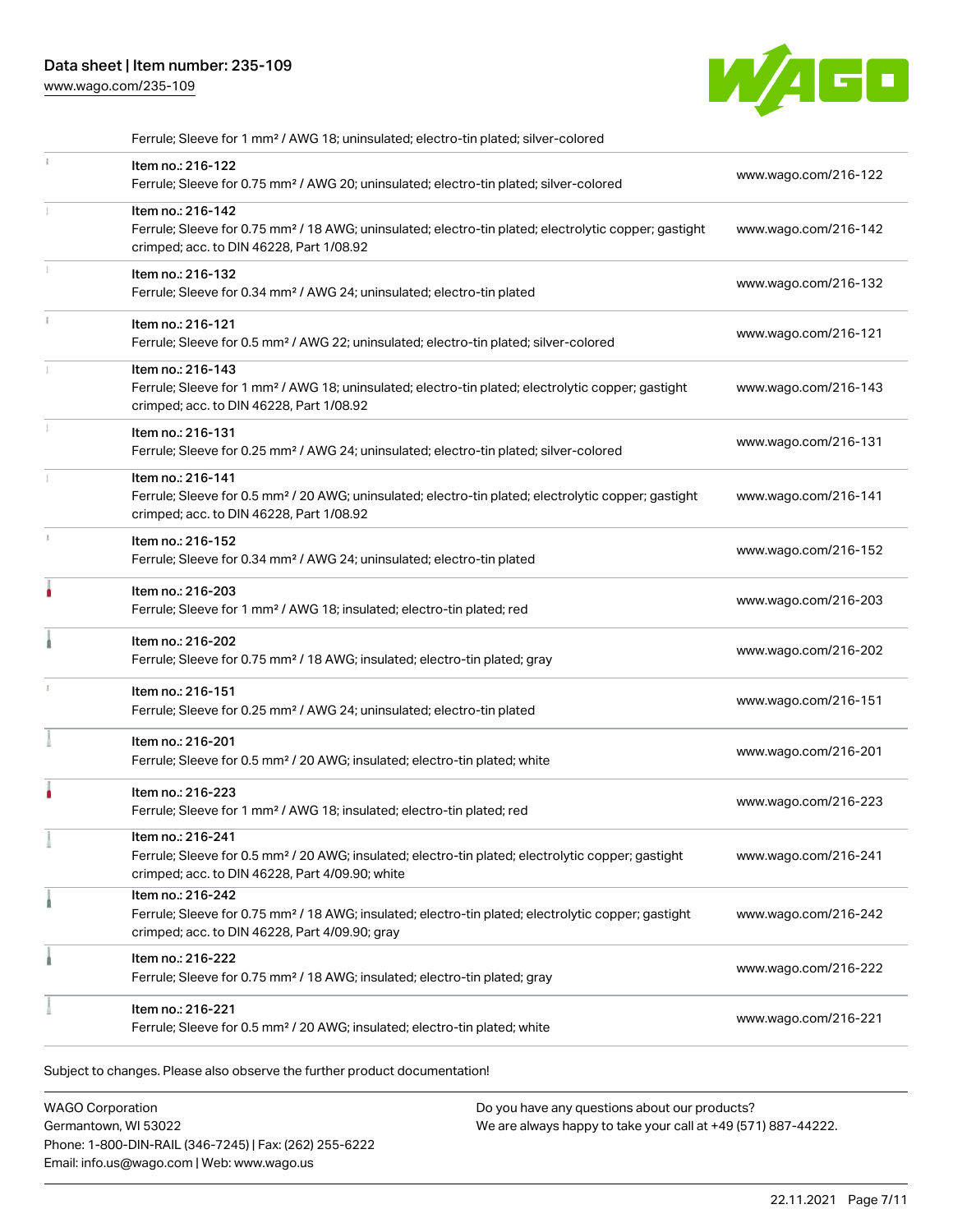# Data sheet | Item number: 235-109

[www.wago.com/235-109](http://www.wago.com/235-109)



| Ferrule; Sleeve for 1 mm <sup>2</sup> / AWG 18; uninsulated; electro-tin plated; silver-colored                                                                                        |                      |
|----------------------------------------------------------------------------------------------------------------------------------------------------------------------------------------|----------------------|
| Item no.: 216-122<br>Ferrule; Sleeve for 0.75 mm <sup>2</sup> / AWG 20; uninsulated; electro-tin plated; silver-colored                                                                | www.wago.com/216-122 |
| Item no.: 216-142<br>Ferrule; Sleeve for 0.75 mm <sup>2</sup> / 18 AWG; uninsulated; electro-tin plated; electrolytic copper; gastight<br>crimped; acc. to DIN 46228, Part 1/08.92     | www.wago.com/216-142 |
| Item no.: 216-132<br>Ferrule; Sleeve for 0.34 mm <sup>2</sup> / AWG 24; uninsulated; electro-tin plated                                                                                | www.wago.com/216-132 |
| Item no.: 216-121<br>Ferrule; Sleeve for 0.5 mm <sup>2</sup> / AWG 22; uninsulated; electro-tin plated; silver-colored                                                                 | www.wago.com/216-121 |
| Item no.: 216-143<br>Ferrule; Sleeve for 1 mm <sup>2</sup> / AWG 18; uninsulated; electro-tin plated; electrolytic copper; gastight<br>crimped; acc. to DIN 46228, Part 1/08.92        | www.wago.com/216-143 |
| Item no.: 216-131<br>Ferrule; Sleeve for 0.25 mm <sup>2</sup> / AWG 24; uninsulated; electro-tin plated; silver-colored                                                                | www.wago.com/216-131 |
| Item no.: 216-141<br>Ferrule; Sleeve for 0.5 mm <sup>2</sup> / 20 AWG; uninsulated; electro-tin plated; electrolytic copper; gastight<br>crimped; acc. to DIN 46228, Part 1/08.92      | www.wago.com/216-141 |
| Item no.: 216-152<br>Ferrule; Sleeve for 0.34 mm <sup>2</sup> / AWG 24; uninsulated; electro-tin plated                                                                                | www.wago.com/216-152 |
| Item no.: 216-203<br>Ferrule; Sleeve for 1 mm <sup>2</sup> / AWG 18; insulated; electro-tin plated; red                                                                                | www.wago.com/216-203 |
| Item no.: 216-202<br>Ferrule; Sleeve for 0.75 mm <sup>2</sup> / 18 AWG; insulated; electro-tin plated; gray                                                                            | www.wago.com/216-202 |
| Item no.: 216-151<br>Ferrule; Sleeve for 0.25 mm <sup>2</sup> / AWG 24; uninsulated; electro-tin plated                                                                                | www.wago.com/216-151 |
| Item no.: 216-201<br>Ferrule; Sleeve for 0.5 mm <sup>2</sup> / 20 AWG; insulated; electro-tin plated; white                                                                            | www.wago.com/216-201 |
| Item no.: 216-223<br>Ferrule; Sleeve for 1 mm <sup>2</sup> / AWG 18; insulated; electro-tin plated; red                                                                                | www.wago.com/216-223 |
| ltem no.: 216-241<br>Ferrule; Sleeve for 0.5 mm <sup>2</sup> / 20 AWG; insulated; electro-tin plated; electrolytic copper; gastight<br>crimped; acc. to DIN 46228, Part 4/09.90; white | www.wago.com/216-241 |
| Item no.: 216-242<br>Ferrule; Sleeve for 0.75 mm <sup>2</sup> / 18 AWG; insulated; electro-tin plated; electrolytic copper; gastight<br>crimped; acc. to DIN 46228, Part 4/09.90; gray | www.wago.com/216-242 |
| Item no.: 216-222<br>Ferrule; Sleeve for 0.75 mm <sup>2</sup> / 18 AWG; insulated; electro-tin plated; gray                                                                            | www.wago.com/216-222 |
| Item no.: 216-221<br>Ferrule; Sleeve for 0.5 mm <sup>2</sup> / 20 AWG; insulated; electro-tin plated; white                                                                            | www.wago.com/216-221 |

Subject to changes. Please also observe the further product documentation!

WAGO Corporation Germantown, WI 53022 Phone: 1-800-DIN-RAIL (346-7245) | Fax: (262) 255-6222 Email: info.us@wago.com | Web: www.wago.us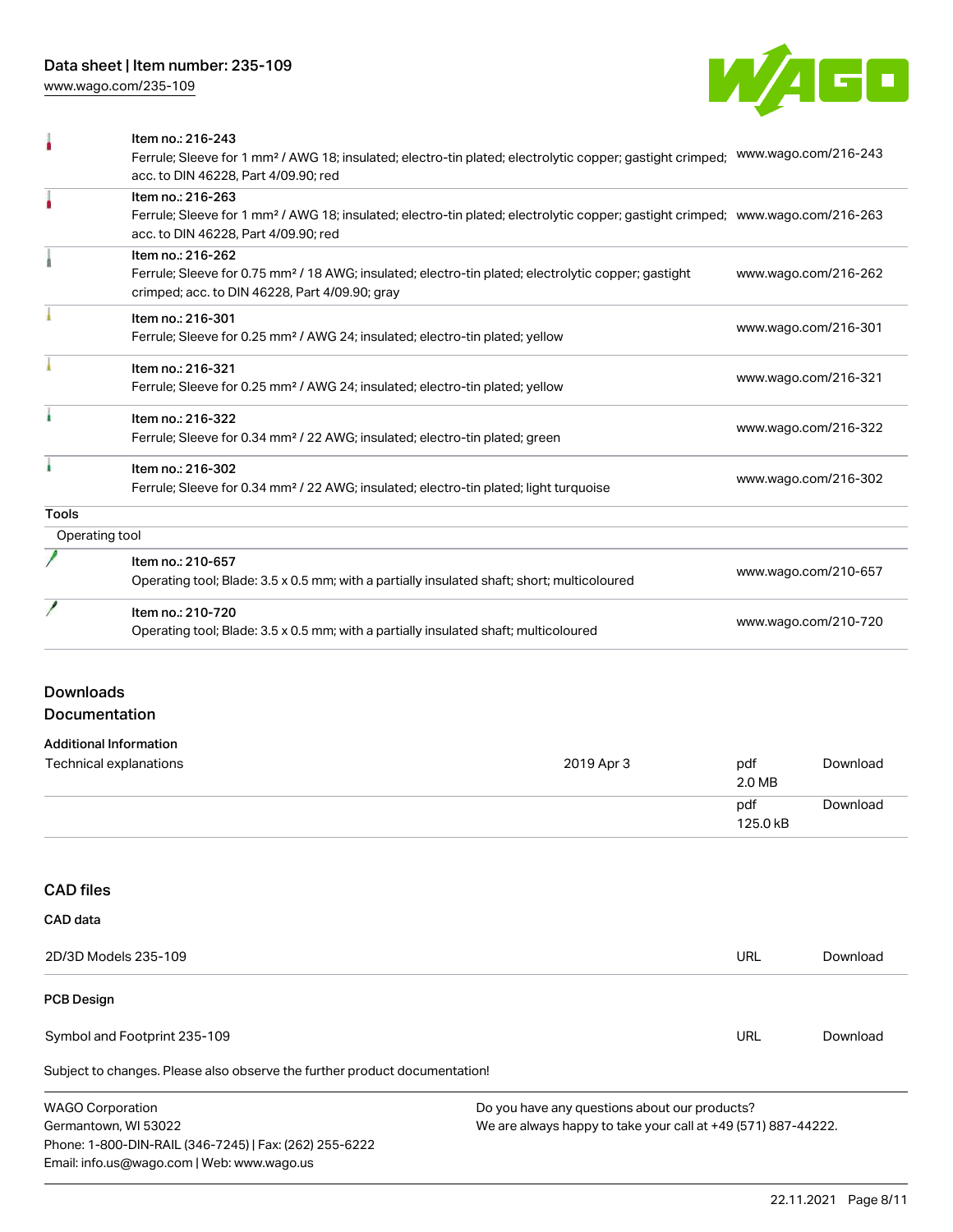[www.wago.com/235-109](http://www.wago.com/235-109)



| <b>PCB Design</b>                 |                                                                                                                                                                                                         |               |                      |  |
|-----------------------------------|---------------------------------------------------------------------------------------------------------------------------------------------------------------------------------------------------------|---------------|----------------------|--|
|                                   | 2D/3D Models 235-109                                                                                                                                                                                    | <b>URL</b>    | Download             |  |
| CAD data                          |                                                                                                                                                                                                         |               |                      |  |
| <b>CAD files</b>                  |                                                                                                                                                                                                         |               |                      |  |
|                                   |                                                                                                                                                                                                         | 125.0 kB      |                      |  |
|                                   |                                                                                                                                                                                                         | 2.0 MB<br>pdf | Download             |  |
|                                   | <b>Additional Information</b><br>Technical explanations<br>2019 Apr 3                                                                                                                                   | pdf           | Download             |  |
| <b>Downloads</b><br>Documentation |                                                                                                                                                                                                         |               |                      |  |
|                                   | Item no.: 210-720<br>Operating tool; Blade: 3.5 x 0.5 mm; with a partially insulated shaft; multicoloured                                                                                               |               | www.wago.com/210-720 |  |
|                                   | Item no.: 210-657<br>Operating tool; Blade: 3.5 x 0.5 mm; with a partially insulated shaft; short; multicoloured                                                                                        |               | www.wago.com/210-657 |  |
| Operating tool                    |                                                                                                                                                                                                         |               |                      |  |
| <b>Tools</b>                      |                                                                                                                                                                                                         |               |                      |  |
|                                   | Item no.: 216-302<br>Ferrule; Sleeve for 0.34 mm <sup>2</sup> / 22 AWG; insulated; electro-tin plated; light turquoise                                                                                  |               | www.wago.com/216-302 |  |
|                                   | Item no.: 216-322<br>Ferrule; Sleeve for 0.34 mm <sup>2</sup> / 22 AWG; insulated; electro-tin plated; green                                                                                            |               | www.wago.com/216-322 |  |
|                                   | Item no.: 216-321<br>Ferrule; Sleeve for 0.25 mm <sup>2</sup> / AWG 24; insulated; electro-tin plated; yellow                                                                                           |               | www.wago.com/216-321 |  |
|                                   | Item no.: 216-301<br>Ferrule; Sleeve for 0.25 mm <sup>2</sup> / AWG 24; insulated; electro-tin plated; yellow                                                                                           |               | www.wago.com/216-301 |  |
|                                   | Item no.: 216-262<br>Ferrule; Sleeve for 0.75 mm <sup>2</sup> / 18 AWG; insulated; electro-tin plated; electrolytic copper; gastight<br>crimped; acc. to DIN 46228, Part 4/09.90; gray                  |               | www.wago.com/216-262 |  |
|                                   | Item no.: 216-263<br>Ferrule; Sleeve for 1 mm <sup>2</sup> / AWG 18; insulated; electro-tin plated; electrolytic copper; gastight crimped; www.wago.com/216-263<br>acc. to DIN 46228, Part 4/09.90; red |               |                      |  |
| ۸                                 | Item no.: 216-243<br>Ferrule; Sleeve for 1 mm <sup>2</sup> / AWG 18; insulated; electro-tin plated; electrolytic copper; gastight crimped;<br>acc. to DIN 46228, Part 4/09.90; red                      |               | www.wago.com/216-243 |  |
|                                   |                                                                                                                                                                                                         |               |                      |  |

Subject to changes. Please also observe the further product documentation!

Symbol and Footprint 235-109

WAGO Corporation Germantown, WI 53022 Phone: 1-800-DIN-RAIL (346-7245) | Fax: (262) 255-6222 Email: info.us@wago.com | Web: www.wago.us Do you have any questions about our products? We are always happy to take your call at +49 (571) 887-44222.

URL [Download](https://www.wago.com/global/d/UltraLibrarian_URLS_235-109)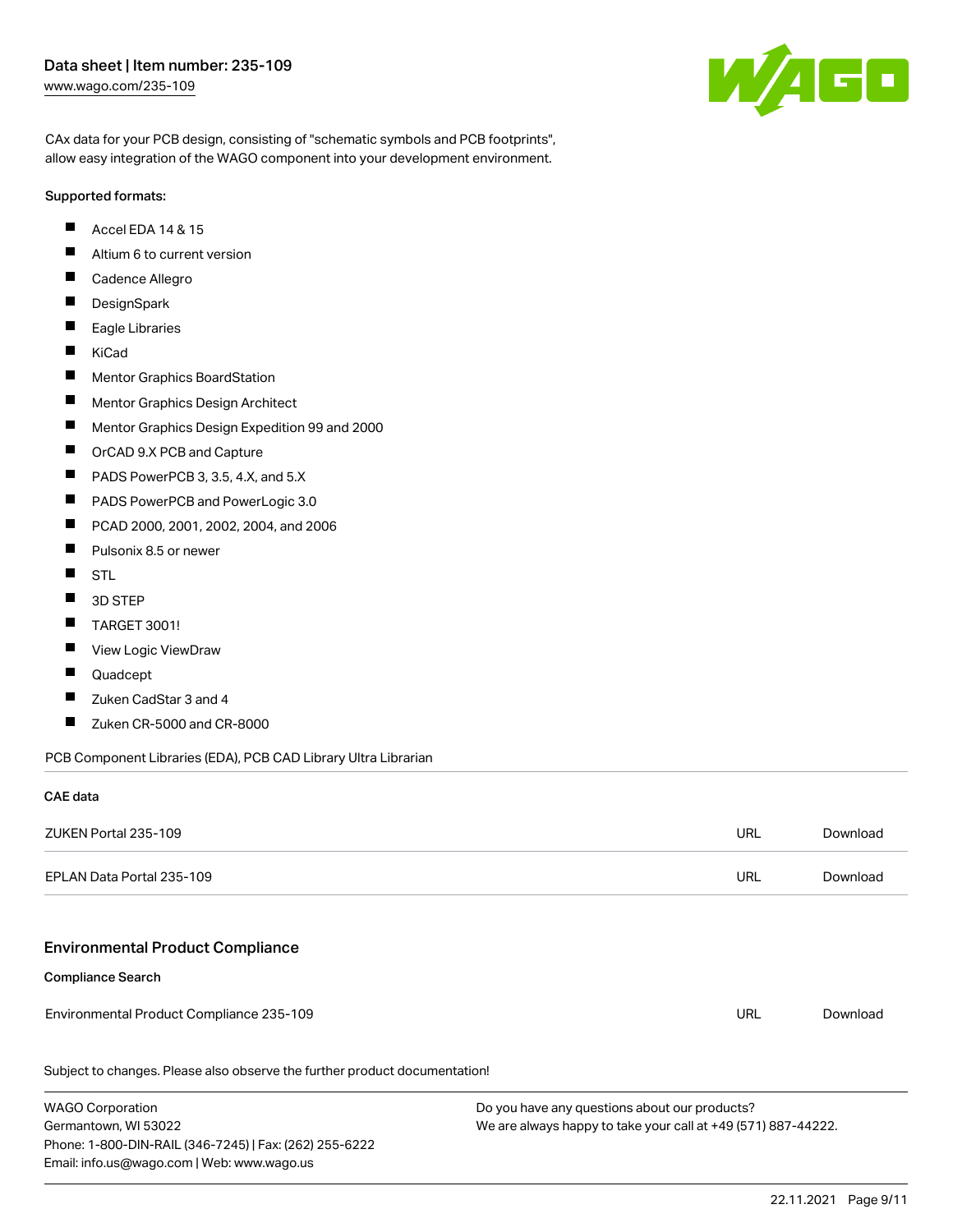

CAx data for your PCB design, consisting of "schematic symbols and PCB footprints", allow easy integration of the WAGO component into your development environment.

#### Supported formats:

- $\blacksquare$ Accel EDA 14 & 15
- $\blacksquare$ Altium 6 to current version
- $\blacksquare$ Cadence Allegro
- $\blacksquare$ **DesignSpark**
- $\blacksquare$ Eagle Libraries
- $\blacksquare$ KiCad
- $\blacksquare$ Mentor Graphics BoardStation
- $\blacksquare$ Mentor Graphics Design Architect
- $\blacksquare$ Mentor Graphics Design Expedition 99 and 2000
- П OrCAD 9.X PCB and Capture
- $\blacksquare$ PADS PowerPCB 3, 3.5, 4.X, and 5.X
- $\blacksquare$ PADS PowerPCB and PowerLogic 3.0
- $\blacksquare$ PCAD 2000, 2001, 2002, 2004, and 2006
- $\blacksquare$ Pulsonix 8.5 or newer
- $\blacksquare$ STL
- $\blacksquare$ 3D STEP
- $\blacksquare$ TARGET 3001!
- $\blacksquare$ View Logic ViewDraw
- П Quadcept
- $\blacksquare$ Zuken CadStar 3 and 4
- $\blacksquare$ Zuken CR-5000 and CR-8000

PCB Component Libraries (EDA), PCB CAD Library Ultra Librarian

#### CAE data

| ZUKEN Portal 235-109                                                       | URL        | Download |
|----------------------------------------------------------------------------|------------|----------|
| EPLAN Data Portal 235-109                                                  | <b>URL</b> | Download |
|                                                                            |            |          |
| <b>Environmental Product Compliance</b>                                    |            |          |
| <b>Compliance Search</b>                                                   |            |          |
| Environmental Product Compliance 235-109                                   | URL        | Download |
| Subject to changes. Please also observe the further product documentation! |            |          |
|                                                                            |            |          |

WAGO Corporation Germantown, WI 53022 Phone: 1-800-DIN-RAIL (346-7245) | Fax: (262) 255-6222 Email: info.us@wago.com | Web: www.wago.us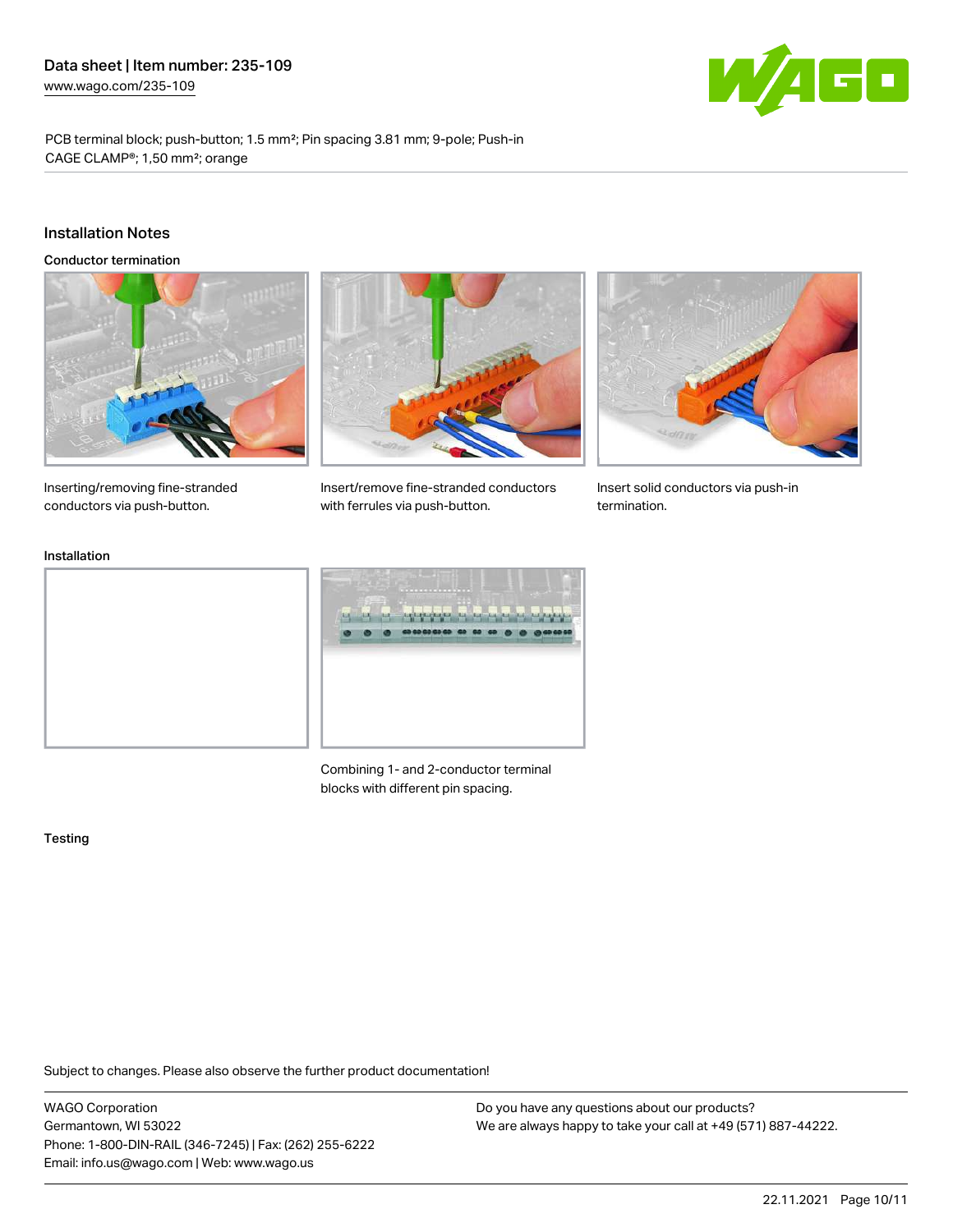

PCB terminal block; push-button; 1.5 mm²; Pin spacing 3.81 mm; 9-pole; Push-in CAGE CLAMP®; 1,50 mm²; orange

#### Installation Notes

Conductor termination





Insert/remove fine-stranded conductors



Insert solid conductors via push-in termination.

Inserting/removing fine-stranded conductors via push-button.

## Installation



with ferrules via push-button.

Combining 1- and 2-conductor terminal blocks with different pin spacing.

#### **Testing**

Subject to changes. Please also observe the further product documentation!

WAGO Corporation Germantown, WI 53022 Phone: 1-800-DIN-RAIL (346-7245) | Fax: (262) 255-6222 Email: info.us@wago.com | Web: www.wago.us